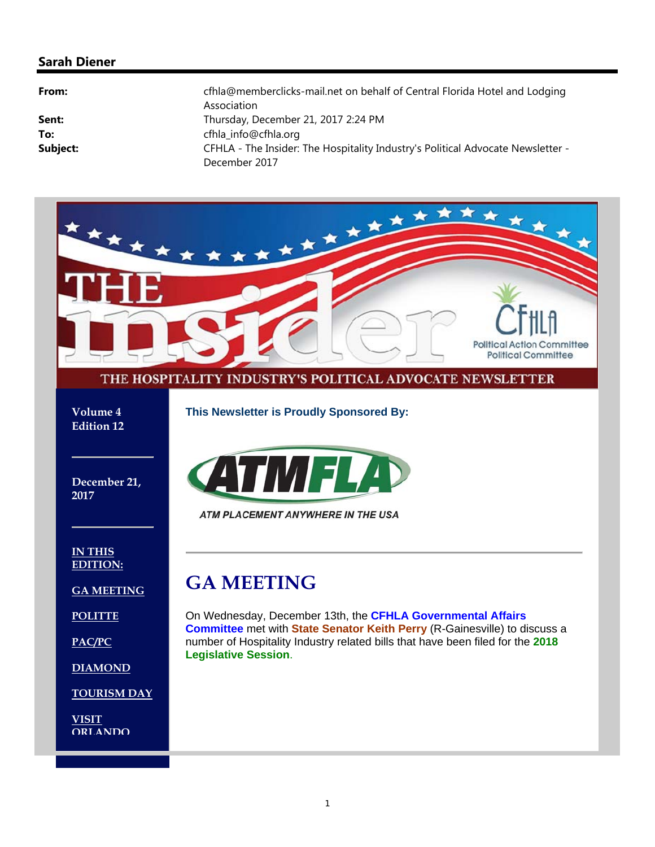### **Sarah Diener**

| From:    | cfhla@memberclicks-mail.net on behalf of Central Florida Hotel and Lodging<br>Association |
|----------|-------------------------------------------------------------------------------------------|
| Sent:    | Thursday, December 21, 2017 2:24 PM                                                       |
| To:      | cfhla info@cfhla.org                                                                      |
| Subject: | CFHLA - The Insider: The Hospitality Industry's Political Advocate Newsletter -           |
|          | December 2017                                                                             |

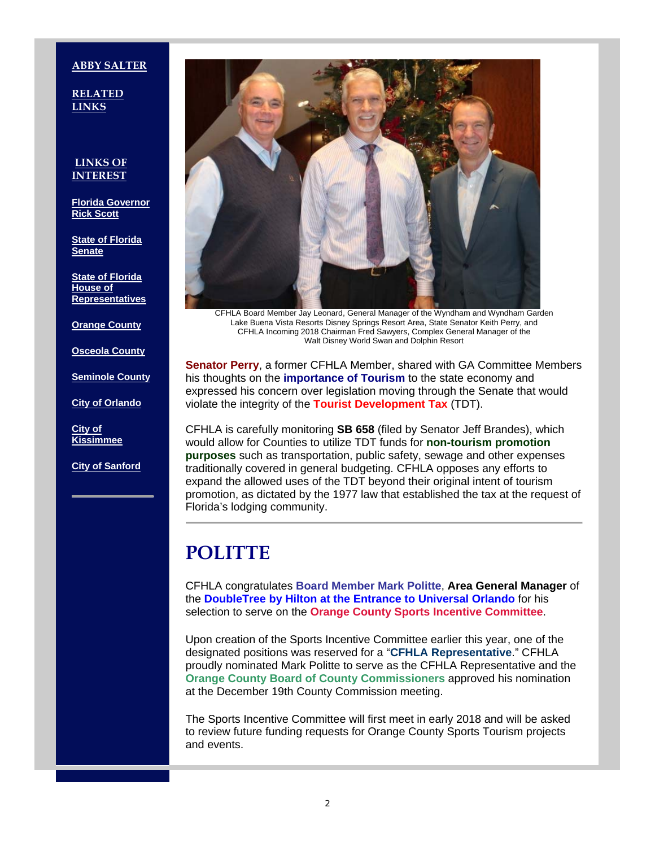#### **ABBY SALTER**

**RELATED LINKS**

#### **LINKS OF INTEREST**

**Florida Governor Rick Scott**

**State of Florida Senate**

**State of Florida House of Representatives**

**Orange County**

**Osceola County**

**Seminole County**

**City of Orlando**

**City of Kissimmee**

**City of Sanford**



CFHLA Board Member Jay Leonard, General Manager of the Wyndham and Wyndham Garden Lake Buena Vista Resorts Disney Springs Resort Area, State Senator Keith Perry, and CFHLA Incoming 2018 Chairman Fred Sawyers, Complex General Manager of the Walt Disney World Swan and Dolphin Resort

**Senator Perry**, a former CFHLA Member, shared with GA Committee Members his thoughts on the **importance of Tourism** to the state economy and expressed his concern over legislation moving through the Senate that would violate the integrity of the **Tourist Development Tax** (TDT).

CFHLA is carefully monitoring **SB 658** (filed by Senator Jeff Brandes), which would allow for Counties to utilize TDT funds for **non-tourism promotion purposes** such as transportation, public safety, sewage and other expenses traditionally covered in general budgeting. CFHLA opposes any efforts to expand the allowed uses of the TDT beyond their original intent of tourism promotion, as dictated by the 1977 law that established the tax at the request of Florida's lodging community.

# **POLITTE**

CFHLA congratulates **Board Member Mark Politte**, **Area General Manager** of the **DoubleTree by Hilton at the Entrance to Universal Orlando** for his selection to serve on the **Orange County Sports Incentive Committee**.

Upon creation of the Sports Incentive Committee earlier this year, one of the designated positions was reserved for a "**CFHLA Representative**." CFHLA proudly nominated Mark Politte to serve as the CFHLA Representative and the **Orange County Board of County Commissioners** approved his nomination at the December 19th County Commission meeting.

The Sports Incentive Committee will first meet in early 2018 and will be asked to review future funding requests for Orange County Sports Tourism projects and events.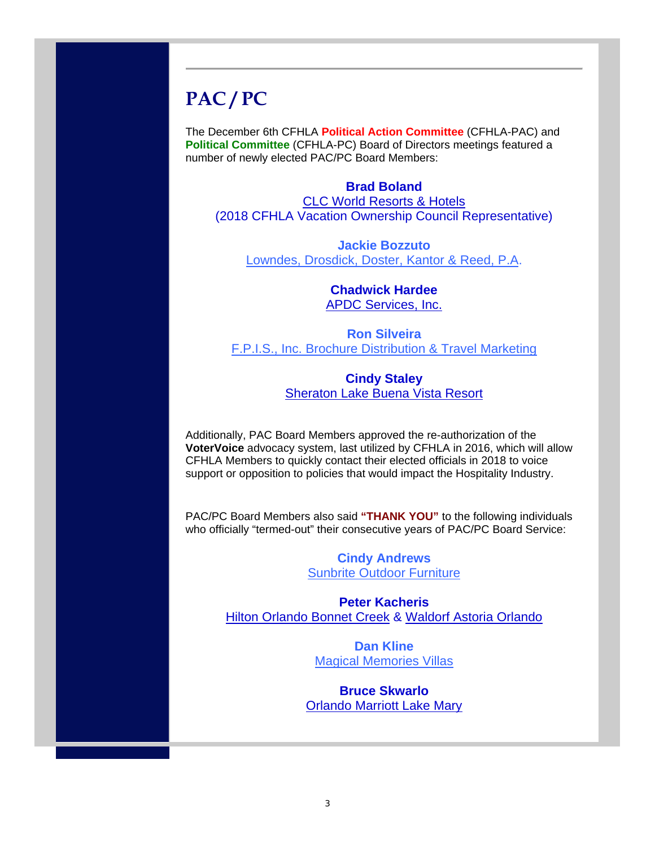# **PAC / PC**

The December 6th CFHLA **Political Action Committee** (CFHLA-PAC) and **Political Committee** (CFHLA-PC) Board of Directors meetings featured a number of newly elected PAC/PC Board Members:

### **Brad Boland**

CLC World Resorts & Hotels (2018 CFHLA Vacation Ownership Council Representative)

**Jackie Bozzuto** Lowndes, Drosdick, Doster, Kantor & Reed, P.A.

> **Chadwick Hardee** APDC Services, Inc.

**Ron Silveira** F.P.I.S., Inc. Brochure Distribution & Travel Marketing

### **Cindy Staley** Sheraton Lake Buena Vista Resort

Additionally, PAC Board Members approved the re-authorization of the **VoterVoice** advocacy system, last utilized by CFHLA in 2016, which will allow CFHLA Members to quickly contact their elected officials in 2018 to voice support or opposition to policies that would impact the Hospitality Industry.

PAC/PC Board Members also said **"THANK YOU"** to the following individuals who officially "termed-out" their consecutive years of PAC/PC Board Service:

> **Cindy Andrews** Sunbrite Outdoor Furniture

**Peter Kacheris** Hilton Orlando Bonnet Creek & Waldorf Astoria Orlando

> **Dan Kline** Magical Memories Villas

**Bruce Skwarlo** Orlando Marriott Lake Mary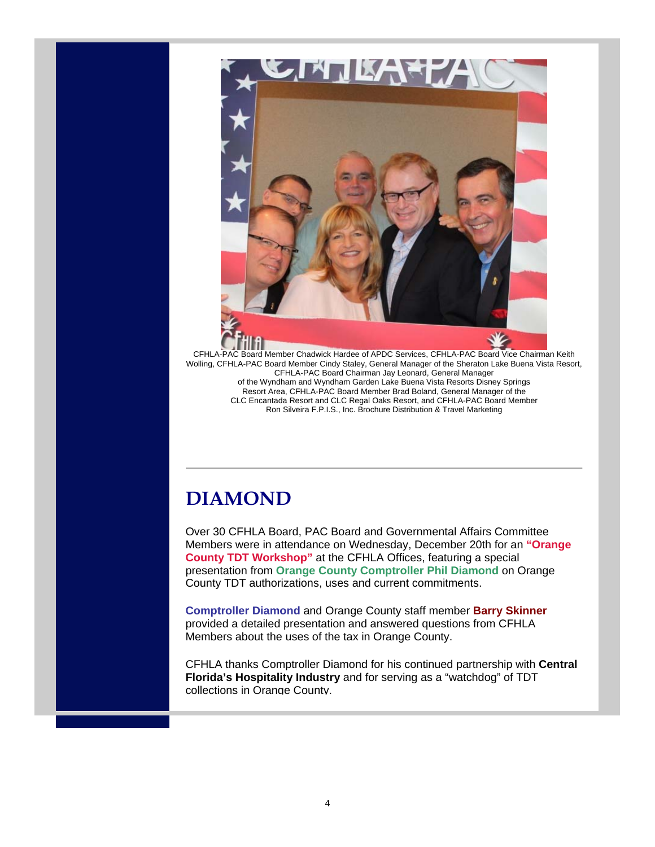

CFHLA-PAC Board Member Chadwick Hardee of APDC Services, CFHLA-PAC Board Vice Chairman Keith Wolling, CFHLA-PAC Board Member Cindy Staley, General Manager of the Sheraton Lake Buena Vista Resort, CFHLA-PAC Board Chairman Jay Leonard, General Manager of the Wyndham and Wyndham Garden Lake Buena Vista Resorts Disney Springs Resort Area, CFHLA-PAC Board Member Brad Boland, General Manager of the CLC Encantada Resort and CLC Regal Oaks Resort, and CFHLA-PAC Board Member Ron Silveira F.P.I.S., Inc. Brochure Distribution & Travel Marketing

# **DIAMOND**

Over 30 CFHLA Board, PAC Board and Governmental Affairs Committee Members were in attendance on Wednesday, December 20th for an **"Orange County TDT Workshop"** at the CFHLA Offices, featuring a special presentation from **Orange County Comptroller Phil Diamond** on Orange County TDT authorizations, uses and current commitments.

**Comptroller Diamond** and Orange County staff member **Barry Skinner** provided a detailed presentation and answered questions from CFHLA Members about the uses of the tax in Orange County.

CFHLA thanks Comptroller Diamond for his continued partnership with **Central Florida's Hospitality Industry** and for serving as a "watchdog" of TDT collections in Orange County.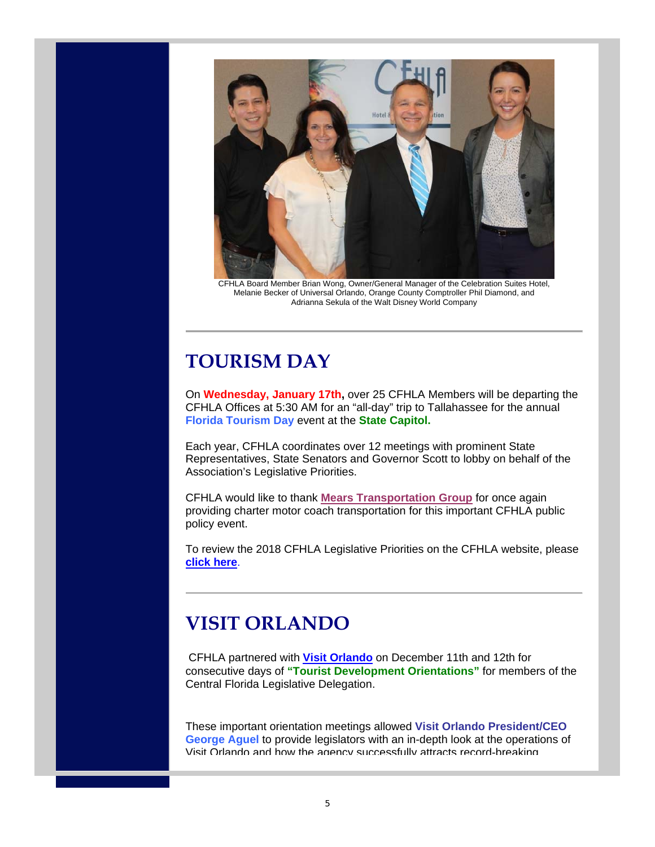

CFHLA Board Member Brian Wong, Owner/General Manager of the Celebration Suites Hotel, Melanie Becker of Universal Orlando, Orange County Comptroller Phil Diamond, and Adrianna Sekula of the Walt Disney World Company

# **TOURISM DAY**

On **Wednesday, January 17th,** over 25 CFHLA Members will be departing the CFHLA Offices at 5:30 AM for an "all-day" trip to Tallahassee for the annual **Florida Tourism Day** event at the **State Capitol.**

Each year, CFHLA coordinates over 12 meetings with prominent State Representatives, State Senators and Governor Scott to lobby on behalf of the Association's Legislative Priorities.

CFHLA would like to thank **Mears Transportation Group** for once again providing charter motor coach transportation for this important CFHLA public policy event.

To review the 2018 CFHLA Legislative Priorities on the CFHLA website, please **click here**.

# **VISIT ORLANDO**

CFHLA partnered with **Visit Orlando** on December 11th and 12th for consecutive days of **"Tourist Development Orientations"** for members of the Central Florida Legislative Delegation.

These important orientation meetings allowed **Visit Orlando President/CEO George Aguel** to provide legislators with an in-depth look at the operations of Visit Orlando and how the agency successfully attracts record-breaking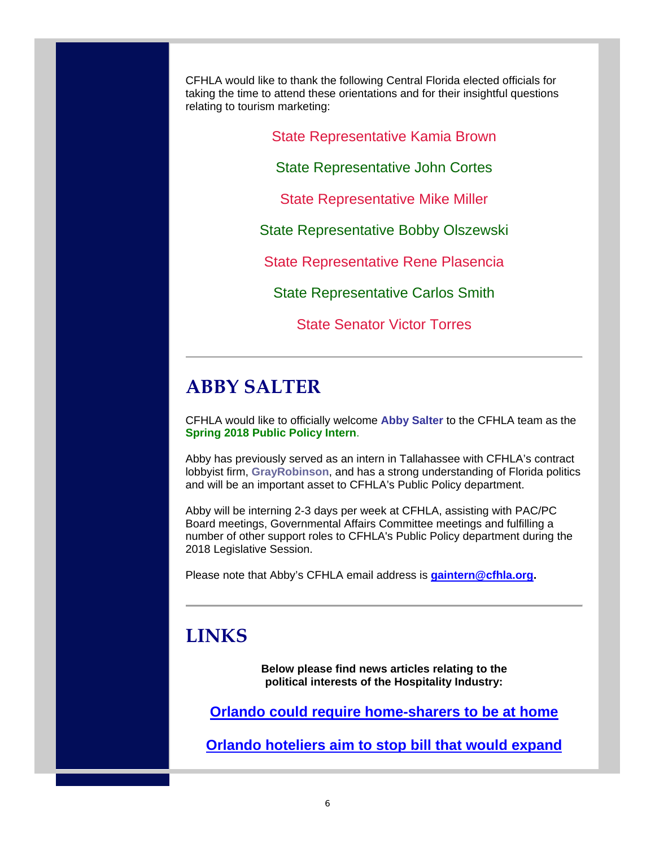CFHLA would like to thank the following Central Florida elected officials for taking the time to attend these orientations and for their insightful questions relating to tourism marketing:

State Representative Kamia Brown

State Representative John Cortes

State Representative Mike Miller

State Representative Bobby Olszewski

State Representative Rene Plasencia

State Representative Carlos Smith

State Senator Victor Torres

### **ABBY SALTER**

CFHLA would like to officially welcome **Abby Salter** to the CFHLA team as the **Spring 2018 Public Policy Intern**.

Abby has previously served as an intern in Tallahassee with CFHLA's contract lobbyist firm, **GrayRobinson**, and has a strong understanding of Florida politics and will be an important asset to CFHLA's Public Policy department.

Abby will be interning 2-3 days per week at CFHLA, assisting with PAC/PC Board meetings, Governmental Affairs Committee meetings and fulfilling a number of other support roles to CFHLA's Public Policy department during the 2018 Legislative Session.

Please note that Abby's CFHLA email address is **gaintern@cfhla.org.**

### **LINKS**

**Below please find news articles relating to the political interests of the Hospitality Industry:**

**Orlando could require home-sharers to be at home** 

**Orlando hoteliers aim to stop bill that would expand**